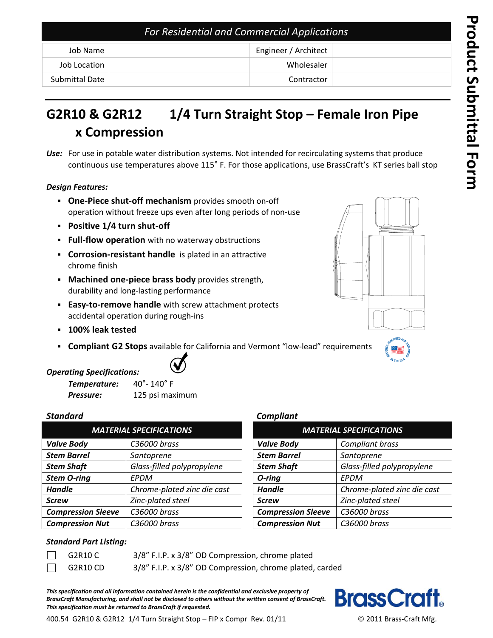# **G2R10 & G2R12 1/4 Turn Straight Stop – Female Iron Pipe x Compression**

*Use:* For use in potable water distribution systems. Not intended for recirculating systems that produce continuous use temperatures above 115° F. For those applications, use BrassCraft's KT series ball stop

#### *Design Features:*

- **One-Piece shut-off mechanism** provides smooth on-off operation without freeze ups even after long periods of non-use
- **Positive 1/4 turn shut-off**
- **Full-flow operation** with no waterway obstructions
- **Corrosion-resistant handle** is plated in an attractive chrome finish
- **Machined one-piece brass body** provides strength, durability and long-lasting performance
- **Easy-to-remove handle** with screw attachment protects accidental operation during rough-ins
- **100% leak tested**
- **Compliant G2 Stops** available for California and Vermont "low-lead" requirements



## *Operating Specifications:*

| Temperature: | $40^{\circ}$ - 140 $^{\circ}$ F |  |
|--------------|---------------------------------|--|
| Pressure:    | 125 psi maximum                 |  |

|                           | <b>MATERIAL SPECIFICATIONS</b> |                           | <b>MATERIAL SPECIFICATIONS</b> |
|---------------------------|--------------------------------|---------------------------|--------------------------------|
| <b>Valve Body</b>         | C36000 brass                   | <b>Valve Body</b>         | Compliant brass                |
| <b>Stem Barrel</b>        | Santoprene                     | <b>Stem Barrel</b>        | Santoprene                     |
| <b>Stem Shaft</b>         | Glass-filled polypropylene     | <b>Stem Shaft</b>         | Glass-filled polypropylene     |
| <b>Stem O-ring</b>        | EPDM                           | O-ring                    | EPDM                           |
| <b>Handle</b>             | Chrome-plated zinc die cast    | <b>Handle</b>             | Chrome-plated zinc die cast    |
| <b>Screw</b>              | Zinc-plated steel              | <b>Screw</b>              | Zinc-plated steel              |
| <b>Compression Sleeve</b> | C36000 brass                   | <b>Compression Sleeve</b> | C36000 brass                   |
| <b>Compression Nut</b>    | C36000 brass                   | <b>Compression Nut</b>    | C36000 brass                   |

#### *Standard Compliant*

| <b>MATERIAL SPECIFICATIONS</b>                  |                             |  |
|-------------------------------------------------|-----------------------------|--|
| <b>Valve Body</b>                               | Compliant brass             |  |
| <b>Stem Barrel</b>                              | Santoprene                  |  |
| Glass-filled polypropylene<br><b>Stem Shaft</b> |                             |  |
| O-ring                                          | EPDM                        |  |
| <b>Handle</b>                                   | Chrome-plated zinc die cast |  |
| <b>Screw</b>                                    | Zinc-plated steel           |  |
| <b>Compression Sleeve</b>                       | C36000 brass                |  |
| <b>Compression Nut</b><br>C36000 brass          |                             |  |

#### *Standard Part Listing:*

| G2R10 C  | 3/8" F.I.P. x 3/8" OD Compression, chrome plated         |
|----------|----------------------------------------------------------|
| G2R10 CD | 3/8" F.I.P. x 3/8" OD Compression, chrome plated, carded |

*This specification and all information contained herein is the confidential and exclusive property of BrassCraft Manufacturing, and shall not be disclosed to others without the written consent of BrassCraft. This specification must be returned to BrassCraft if requested.*



400.54 G2R10 & G2R12 1/4 Turn Straight Stop – FIP x Compr Rev. 01/11  $\degree$  2011 Brass-Craft Mfg.